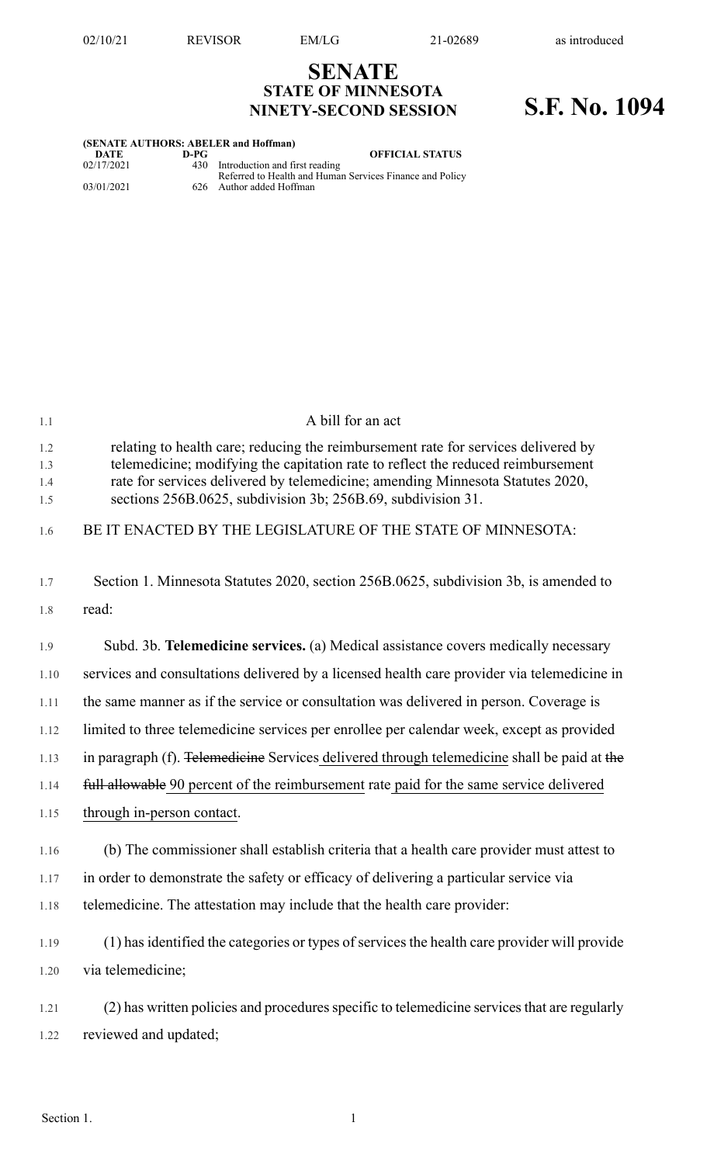## **SENATE STATE OF MINNESOTA NINETY-SECOND SESSION S.F. No. 1094**

| (SENATE AUTHORS: ABELER and Hoffman) |      |                                                                                                |  |  |
|--------------------------------------|------|------------------------------------------------------------------------------------------------|--|--|
| DATE                                 | D-PG | <b>OFFICIAL STATUS</b>                                                                         |  |  |
| 02/17/2021                           |      | 430 Introduction and first reading<br>Referred to Health and Human Services Finance and Policy |  |  |
| 03/01/2021                           |      | 626 Author added Hoffman                                                                       |  |  |

| 1.1                      | A bill for an act                                                                                                                                                                                                                                                                                                        |
|--------------------------|--------------------------------------------------------------------------------------------------------------------------------------------------------------------------------------------------------------------------------------------------------------------------------------------------------------------------|
| 1.2<br>1.3<br>1.4<br>1.5 | relating to health care; reducing the reimbursement rate for services delivered by<br>telemedicine; modifying the capitation rate to reflect the reduced reimbursement<br>rate for services delivered by telemedicine; amending Minnesota Statutes 2020,<br>sections 256B.0625, subdivision 3b; 256B.69, subdivision 31. |
| 1.6                      | BE IT ENACTED BY THE LEGISLATURE OF THE STATE OF MINNESOTA:                                                                                                                                                                                                                                                              |
| 1.7                      | Section 1. Minnesota Statutes 2020, section 256B.0625, subdivision 3b, is amended to                                                                                                                                                                                                                                     |
| 1.8                      | read:                                                                                                                                                                                                                                                                                                                    |
| 1.9                      | Subd. 3b. Telemedicine services. (a) Medical assistance covers medically necessary                                                                                                                                                                                                                                       |
| 1.10                     | services and consultations delivered by a licensed health care provider via telemedicine in                                                                                                                                                                                                                              |
| 1.11                     | the same manner as if the service or consultation was delivered in person. Coverage is                                                                                                                                                                                                                                   |
| 1.12                     | limited to three telemedicine services per enrollee per calendar week, except as provided                                                                                                                                                                                                                                |
| 1.13                     | in paragraph (f). Telemedicine Services delivered through telemedicine shall be paid at the                                                                                                                                                                                                                              |
| 1.14                     | full allowable 90 percent of the reimbursement rate paid for the same service delivered                                                                                                                                                                                                                                  |
| 1.15                     | through in-person contact.                                                                                                                                                                                                                                                                                               |
| 1.16                     | (b) The commissioner shall establish criteria that a health care provider must attest to                                                                                                                                                                                                                                 |
| 1.17                     | in order to demonstrate the safety or efficacy of delivering a particular service via                                                                                                                                                                                                                                    |
| 1.18                     | telemedicine. The attestation may include that the health care provider:                                                                                                                                                                                                                                                 |
| 1.19                     | (1) has identified the categories or types of services the health care provider will provide                                                                                                                                                                                                                             |
| 1.20                     | via telemedicine;                                                                                                                                                                                                                                                                                                        |
| 1.21                     | (2) has written policies and procedures specific to telemedicine services that are regularly                                                                                                                                                                                                                             |
| 1.22                     | reviewed and updated;                                                                                                                                                                                                                                                                                                    |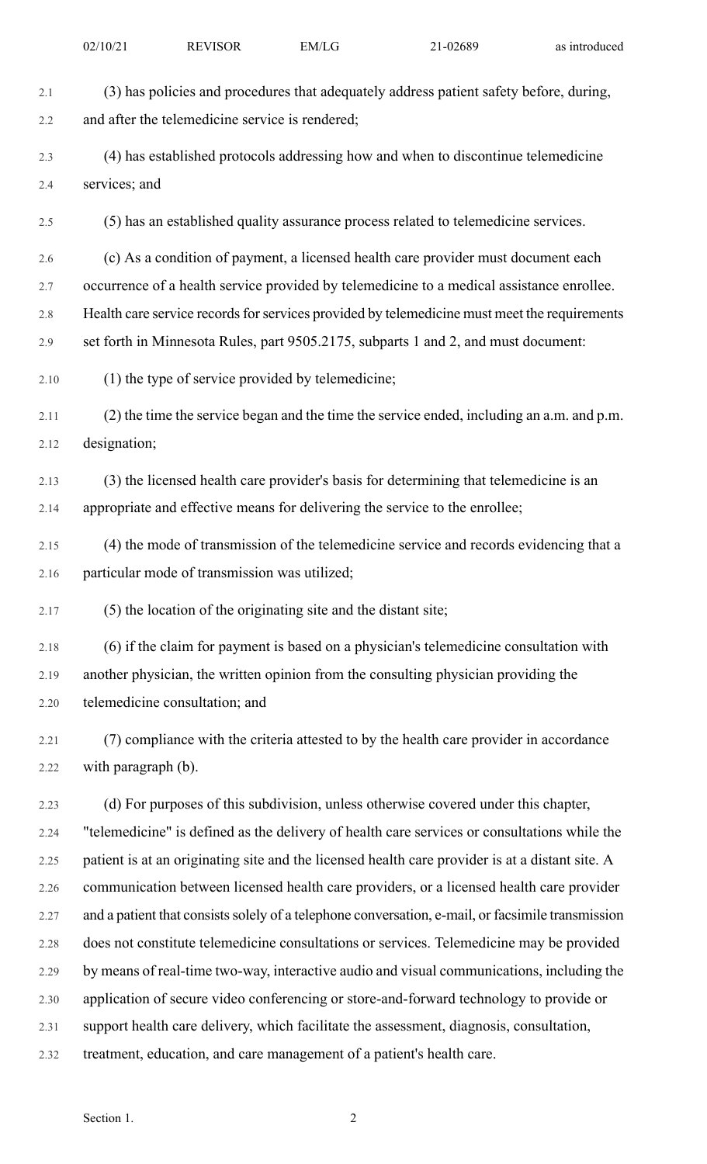| 2.1     | (3) has policies and procedures that adequately address patient safety before, during,            |
|---------|---------------------------------------------------------------------------------------------------|
| 2.2     | and after the telemedicine service is rendered;                                                   |
| 2.3     | (4) has established protocols addressing how and when to discontinue telemedicine                 |
| 2.4     | services; and                                                                                     |
| 2.5     | (5) has an established quality assurance process related to telemedicine services.                |
| 2.6     | (c) As a condition of payment, a licensed health care provider must document each                 |
| 2.7     | occurrence of a health service provided by telemedicine to a medical assistance enrollee.         |
| $2.8\,$ | Health care service records for services provided by telemedicine must meet the requirements      |
| 2.9     | set forth in Minnesota Rules, part 9505.2175, subparts 1 and 2, and must document:                |
| 2.10    | (1) the type of service provided by telemedicine;                                                 |
| 2.11    | (2) the time the service began and the time the service ended, including an a.m. and p.m.         |
| 2.12    | designation;                                                                                      |
| 2.13    | (3) the licensed health care provider's basis for determining that telemedicine is an             |
| 2.14    | appropriate and effective means for delivering the service to the enrollee;                       |
| 2.15    | (4) the mode of transmission of the telemedicine service and records evidencing that a            |
| 2.16    | particular mode of transmission was utilized;                                                     |
|         |                                                                                                   |
| 2.17    | (5) the location of the originating site and the distant site;                                    |
| 2.18    | (6) if the claim for payment is based on a physician's telemedicine consultation with             |
| 2.19    | another physician, the written opinion from the consulting physician providing the                |
| 2.20    | telemedicine consultation; and                                                                    |
| 2.21    | (7) compliance with the criteria attested to by the health care provider in accordance            |
| 2.22    | with paragraph (b).                                                                               |
| 2.23    | (d) For purposes of this subdivision, unless otherwise covered under this chapter,                |
| 2.24    | "telemedicine" is defined as the delivery of health care services or consultations while the      |
| 2.25    | patient is at an originating site and the licensed health care provider is at a distant site. A   |
| 2.26    | communication between licensed health care providers, or a licensed health care provider          |
| 2.27    | and a patient that consists solely of a telephone conversation, e-mail, or facsimile transmission |
| 2.28    | does not constitute telemedicine consultations or services. Telemedicine may be provided          |
| 2.29    | by means of real-time two-way, interactive audio and visual communications, including the         |
| 2.30    | application of secure video conferencing or store-and-forward technology to provide or            |
| 2.31    | support health care delivery, which facilitate the assessment, diagnosis, consultation,           |
| 2.32    | treatment, education, and care management of a patient's health care.                             |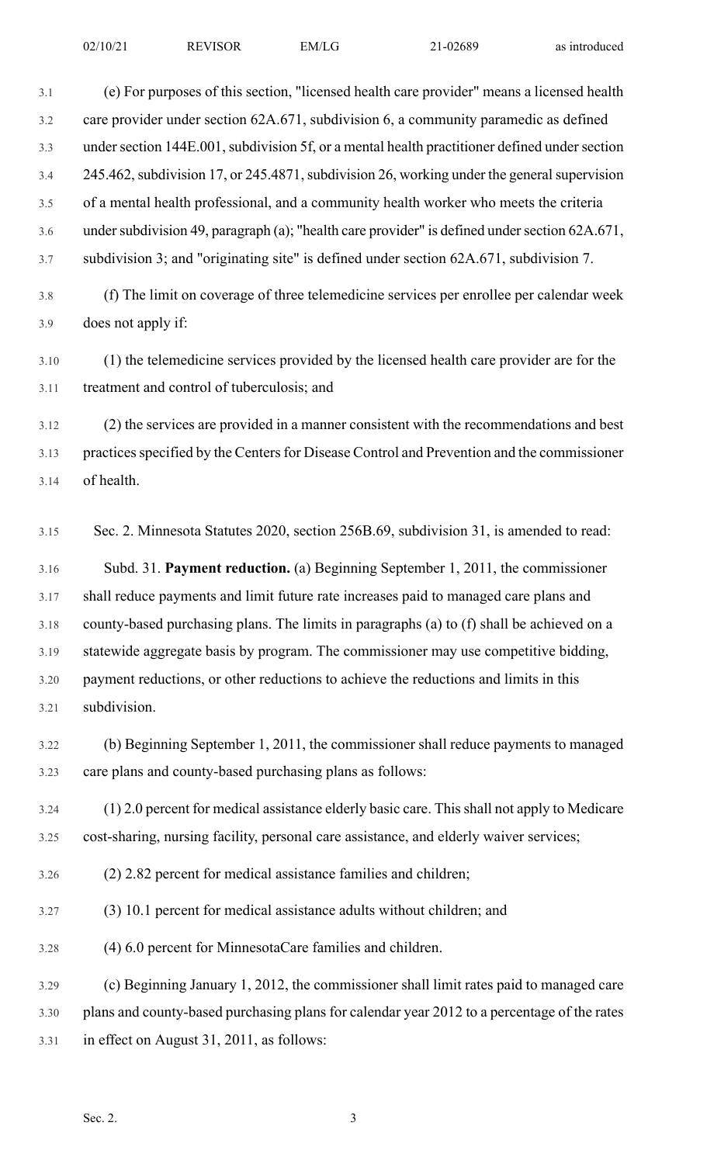3.1 (e) For purposes of this section, "licensed health care provider" means a licensed health 3.2 care provider under section 62A.671, subdivision 6, a community paramedic as defined 3.3 under section 144E.001, subdivision 5f, or a mental health practitioner defined under section 3.4 245.462, subdivision 17, or 245.4871, subdivision 26, working under the general supervision 3.5 of a mental health professional, and a community health worker who meets the criteria 3.6 under subdivision 49, paragraph (a); "health care provider" is defined under section 62A.671, 3.7 subdivision 3; and "originating site" is defined under section 62A.671, subdivision 7.

- 3.8 (f) The limit on coverage of three telemedicine services per enrollee per calendar week 3.9 does not apply if:
- 3.10 (1) the telemedicine services provided by the licensed health care provider are for the 3.11 treatment and control of tuberculosis; and

3.12 (2) the services are provided in a manner consistent with the recommendations and best 3.13 practices specified by the Centers for Disease Control and Prevention and the commissioner 3.14 of health.

3.15 Sec. 2. Minnesota Statutes 2020, section 256B.69, subdivision 31, is amended to read:

3.16 Subd. 31. **Payment reduction.** (a) Beginning September 1, 2011, the commissioner 3.17 shall reduce payments and limit future rate increases paid to managed care plans and 3.18 county-based purchasing plans. The limits in paragraphs (a) to (f) shall be achieved on a 3.19 statewide aggregate basis by program. The commissioner may use competitive bidding, 3.20 payment reductions, or other reductions to achieve the reductions and limits in this 3.21 subdivision.

3.22 (b) Beginning September 1, 2011, the commissioner shall reduce payments to managed 3.23 care plans and county-based purchasing plans as follows:

3.24 (1) 2.0 percent for medical assistance elderly basic care. This shall not apply to Medicare 3.25 cost-sharing, nursing facility, personal care assistance, and elderly waiver services;

- 3.26 (2) 2.82 percent for medical assistance families and children;
- 3.27 (3) 10.1 percent for medical assistance adults without children; and

3.28 (4) 6.0 percent for MinnesotaCare families and children.

3.29 (c) Beginning January 1, 2012, the commissioner shall limit rates paid to managed care 3.30 plans and county-based purchasing plans for calendar year 2012 to a percentage of the rates 3.31 in effect on August 31, 2011, as follows: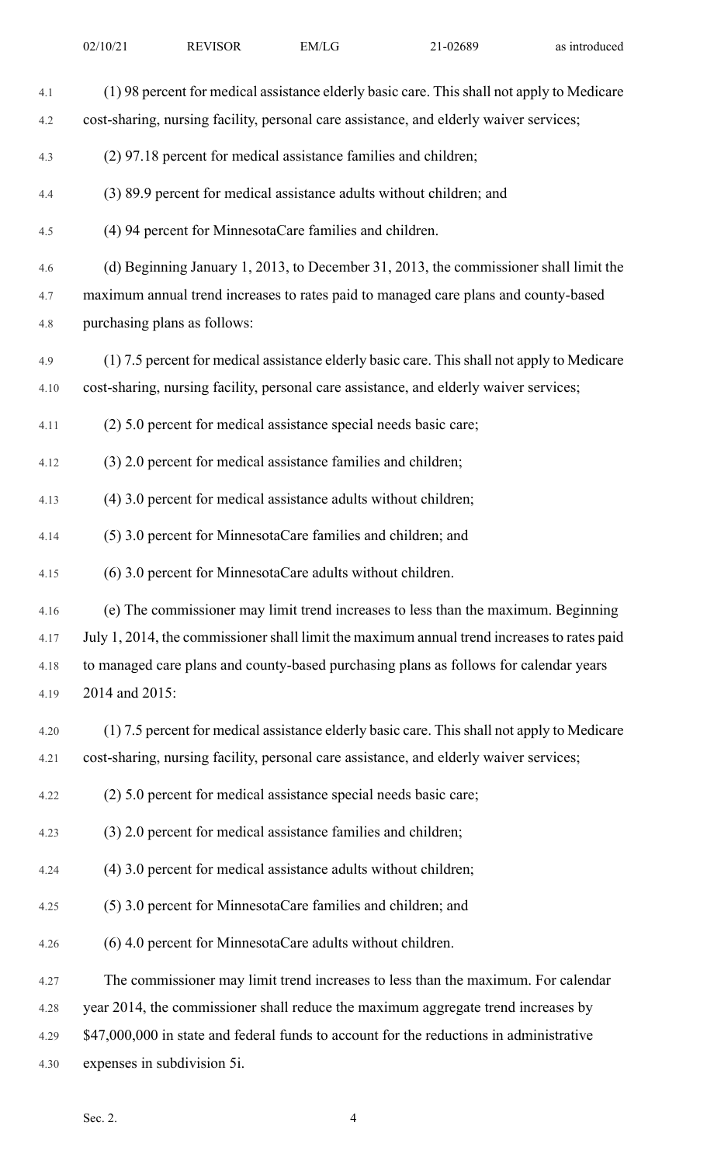| 4.1  | (1) 98 percent for medical assistance elderly basic care. This shall not apply to Medicare  |
|------|---------------------------------------------------------------------------------------------|
| 4.2  | cost-sharing, nursing facility, personal care assistance, and elderly waiver services;      |
| 4.3  | (2) 97.18 percent for medical assistance families and children;                             |
| 4.4  | (3) 89.9 percent for medical assistance adults without children; and                        |
| 4.5  | (4) 94 percent for MinnesotaCare families and children.                                     |
| 4.6  | (d) Beginning January 1, 2013, to December 31, 2013, the commissioner shall limit the       |
| 4.7  | maximum annual trend increases to rates paid to managed care plans and county-based         |
| 4.8  | purchasing plans as follows:                                                                |
| 4.9  | (1) 7.5 percent for medical assistance elderly basic care. This shall not apply to Medicare |
| 4.10 | cost-sharing, nursing facility, personal care assistance, and elderly waiver services;      |
| 4.11 | (2) 5.0 percent for medical assistance special needs basic care;                            |
| 4.12 | (3) 2.0 percent for medical assistance families and children;                               |
| 4.13 | (4) 3.0 percent for medical assistance adults without children;                             |
| 4.14 | (5) 3.0 percent for MinnesotaCare families and children; and                                |
| 4.15 | (6) 3.0 percent for MinnesotaCare adults without children.                                  |
| 4.16 | (e) The commissioner may limit trend increases to less than the maximum. Beginning          |
| 4.17 | July 1, 2014, the commissioner shall limit the maximum annual trend increases to rates paid |
| 4.18 | to managed care plans and county-based purchasing plans as follows for calendar years       |
| 4.19 | 2014 and 2015:                                                                              |
| 4.20 | (1) 7.5 percent for medical assistance elderly basic care. This shall not apply to Medicare |
| 4.21 | cost-sharing, nursing facility, personal care assistance, and elderly waiver services;      |
| 4.22 | (2) 5.0 percent for medical assistance special needs basic care;                            |
| 4.23 | (3) 2.0 percent for medical assistance families and children;                               |
| 4.24 | (4) 3.0 percent for medical assistance adults without children;                             |
| 4.25 | (5) 3.0 percent for MinnesotaCare families and children; and                                |
| 4.26 | (6) 4.0 percent for MinnesotaCare adults without children.                                  |
| 4.27 | The commissioner may limit trend increases to less than the maximum. For calendar           |
| 4.28 | year 2014, the commissioner shall reduce the maximum aggregate trend increases by           |
| 4.29 | \$47,000,000 in state and federal funds to account for the reductions in administrative     |
| 4.30 | expenses in subdivision 5i.                                                                 |